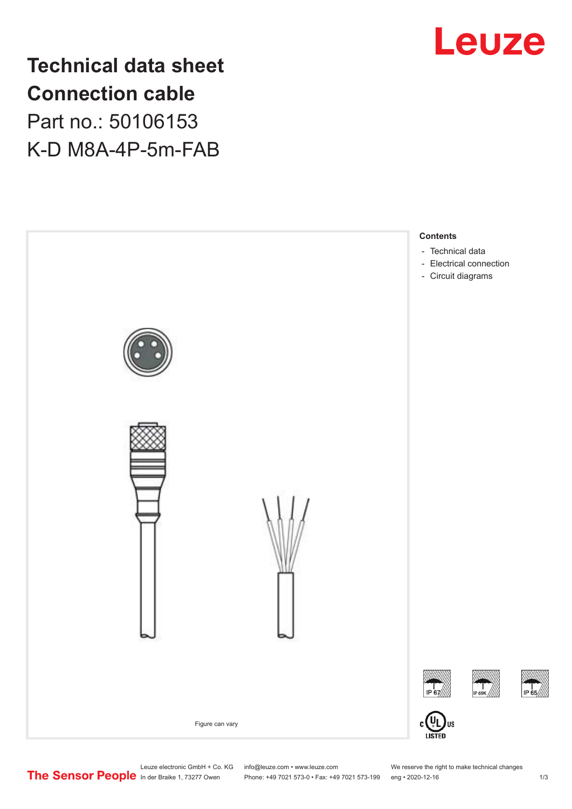

**Technical data sheet Connection cable** Part no.: 50106153 K-D M8A-4P-5m-FAB



Leuze electronic GmbH + Co. KG info@leuze.com • www.leuze.com We reserve the right to make technical changes<br>
The Sensor People in der Braike 1, 73277 Owen Phone: +49 7021 573-0 • Fax: +49 7021 573-199 eng • 2020-12-16

Phone: +49 7021 573-0 • Fax: +49 7021 573-199 eng • 2020-12-16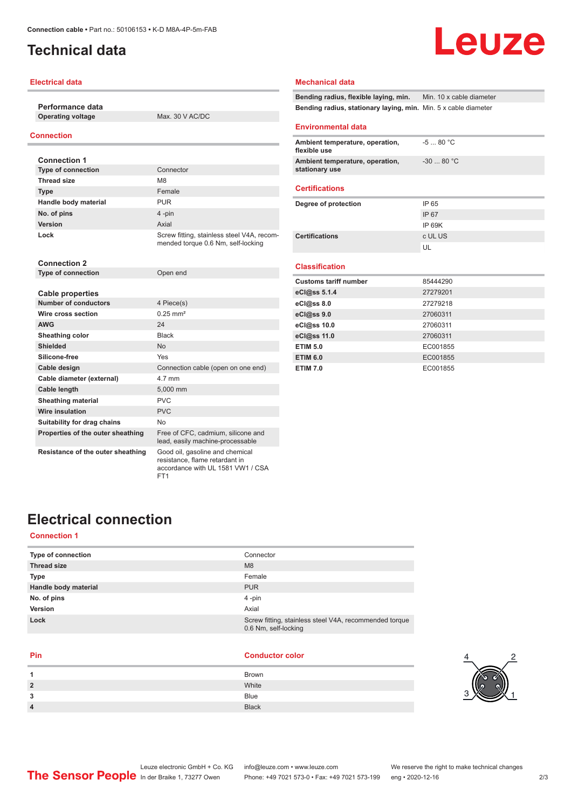## <span id="page-1-0"></span>**Technical data**

### **Electrical data**

**Performance data Operating voltage** Max. 30 V AC/DC

## **Connection**

| <b>Connection 1</b>       |                                                                                  |
|---------------------------|----------------------------------------------------------------------------------|
| <b>Type of connection</b> | Connector                                                                        |
| <b>Thread size</b>        | M8                                                                               |
| <b>Type</b>               | Female                                                                           |
| Handle body material      | <b>PUR</b>                                                                       |
| No. of pins               | 4-pin                                                                            |
| <b>Version</b>            | Axial                                                                            |
| Lock                      | Screw fitting, stainless steel V4A, recom-<br>mended torque 0.6 Nm, self-locking |

| <b>Connection 2</b>               |                                                                        |  |
|-----------------------------------|------------------------------------------------------------------------|--|
| <b>Type of connection</b>         | Open end                                                               |  |
|                                   |                                                                        |  |
| Cable properties                  |                                                                        |  |
| <b>Number of conductors</b>       | 4 Piece(s)                                                             |  |
| Wire cross section                | $0.25$ mm <sup>2</sup>                                                 |  |
| <b>AWG</b>                        | 24                                                                     |  |
| Sheathing color                   | <b>Black</b>                                                           |  |
| <b>Shielded</b>                   | <b>No</b>                                                              |  |
| Silicone-free                     | Yes                                                                    |  |
| Cable design                      | Connection cable (open on one end)                                     |  |
| Cable diameter (external)         | 4.7 mm                                                                 |  |
| Cable length                      | 5,000 mm                                                               |  |
| <b>Sheathing material</b>         | PVC                                                                    |  |
| <b>Wire insulation</b>            | <b>PVC</b>                                                             |  |
| Suitability for drag chains       | N <sub>o</sub>                                                         |  |
| Properties of the outer sheathing | Free of CFC, cadmium, silicone and<br>lead, easily machine-processable |  |
| Resistance of the outer sheathing | Good oil, gasoline and chemical<br>resistance, flame retardant in      |  |

FT1

#### **Mechanical data**

**Bending radius, flexible laying, min.** Min. 10 x cable diameter **Bending radius, stationary laying, min.** Min. 5 x cable diameter

#### **Environmental data**

| Ambient temperature, operation,<br>flexible use   | -5  80 °C  |
|---------------------------------------------------|------------|
| Ambient temperature, operation,<br>stationary use | $-3080 °C$ |

#### **Certifications**

| IP 65   |
|---------|
| IP 67   |
| IP 69K  |
| c UL US |
| UЕ      |
|         |

## **Classification**

| <b>Customs tariff number</b> | 85444290 |  |
|------------------------------|----------|--|
| eCl@ss 5.1.4                 | 27279201 |  |
| eCl@ss 8.0                   | 27279218 |  |
| eCl@ss 9.0                   | 27060311 |  |
| eCl@ss 10.0                  | 27060311 |  |
| eCl@ss 11.0                  | 27060311 |  |
| <b>ETIM 5.0</b>              | EC001855 |  |
| <b>ETIM 6.0</b>              | EC001855 |  |
| <b>ETIM 7.0</b>              | EC001855 |  |

## **Electrical connection**

## **Connection 1**

| Type of connection   | Connector                                                                      |
|----------------------|--------------------------------------------------------------------------------|
| <b>Thread size</b>   | M8                                                                             |
| <b>Type</b>          | Female                                                                         |
| Handle body material | <b>PUR</b>                                                                     |
| No. of pins          | 4-pin                                                                          |
| Version              | Axial                                                                          |
| Lock                 | Screw fitting, stainless steel V4A, recommended torque<br>0.6 Nm, self-locking |

accordance with UL 1581 VW1 / CSA

| <b>Brown</b><br>1<br>White<br>$\overline{2}$<br><b>Blue</b><br>3<br><b>Black</b><br>$\overline{4}$ | Pin | <b>Conductor color</b> |
|----------------------------------------------------------------------------------------------------|-----|------------------------|
|                                                                                                    |     |                        |
|                                                                                                    |     |                        |
|                                                                                                    |     |                        |
|                                                                                                    |     |                        |



# Leuze